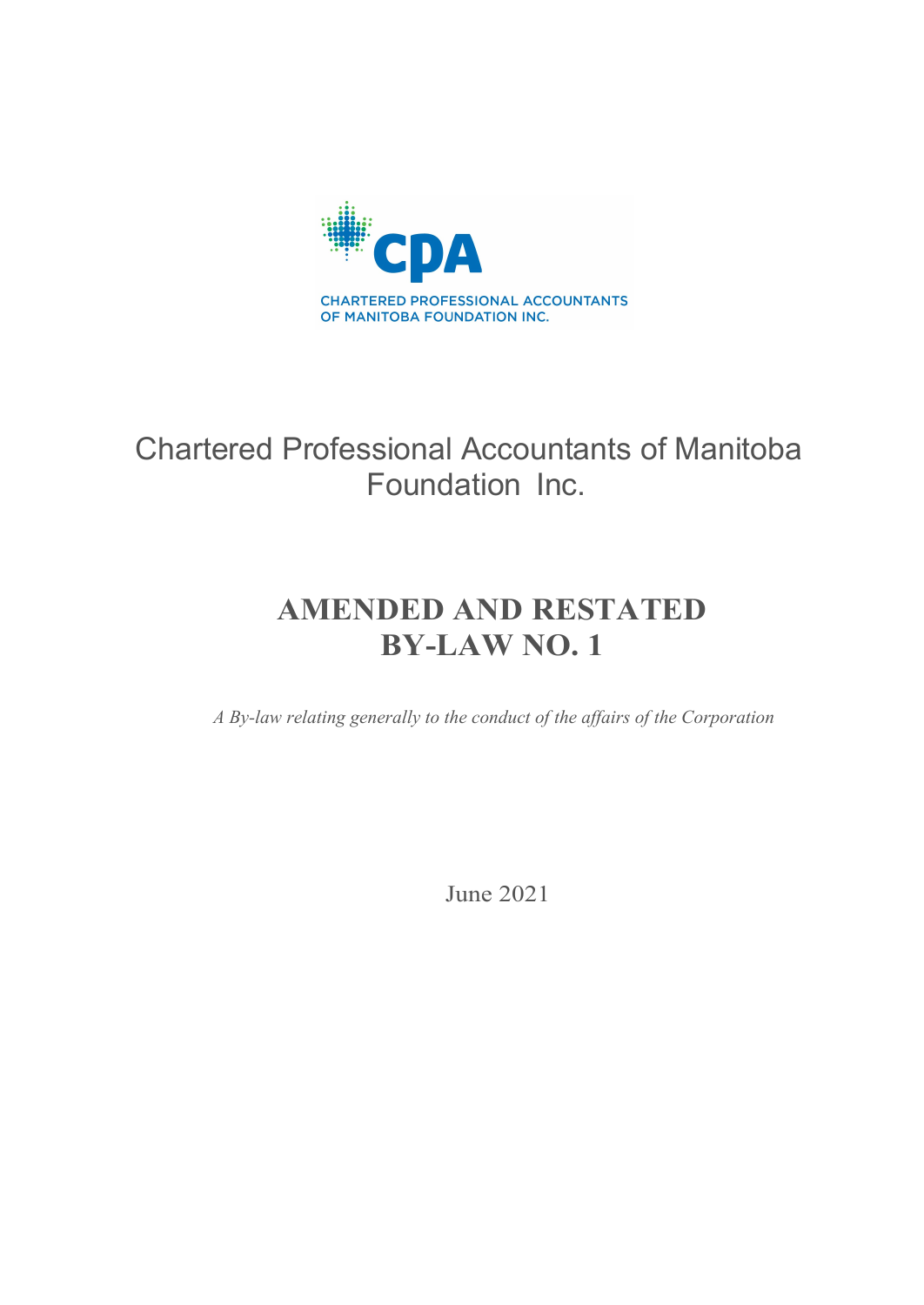

# Chartered Professional Accountants of Manitoba Foundation Inc.

# **AMENDED AND RESTATED BY-LAW NO. 1**

*A By-law relating generally to the conduct of the affairs of the Corporation*

June 2021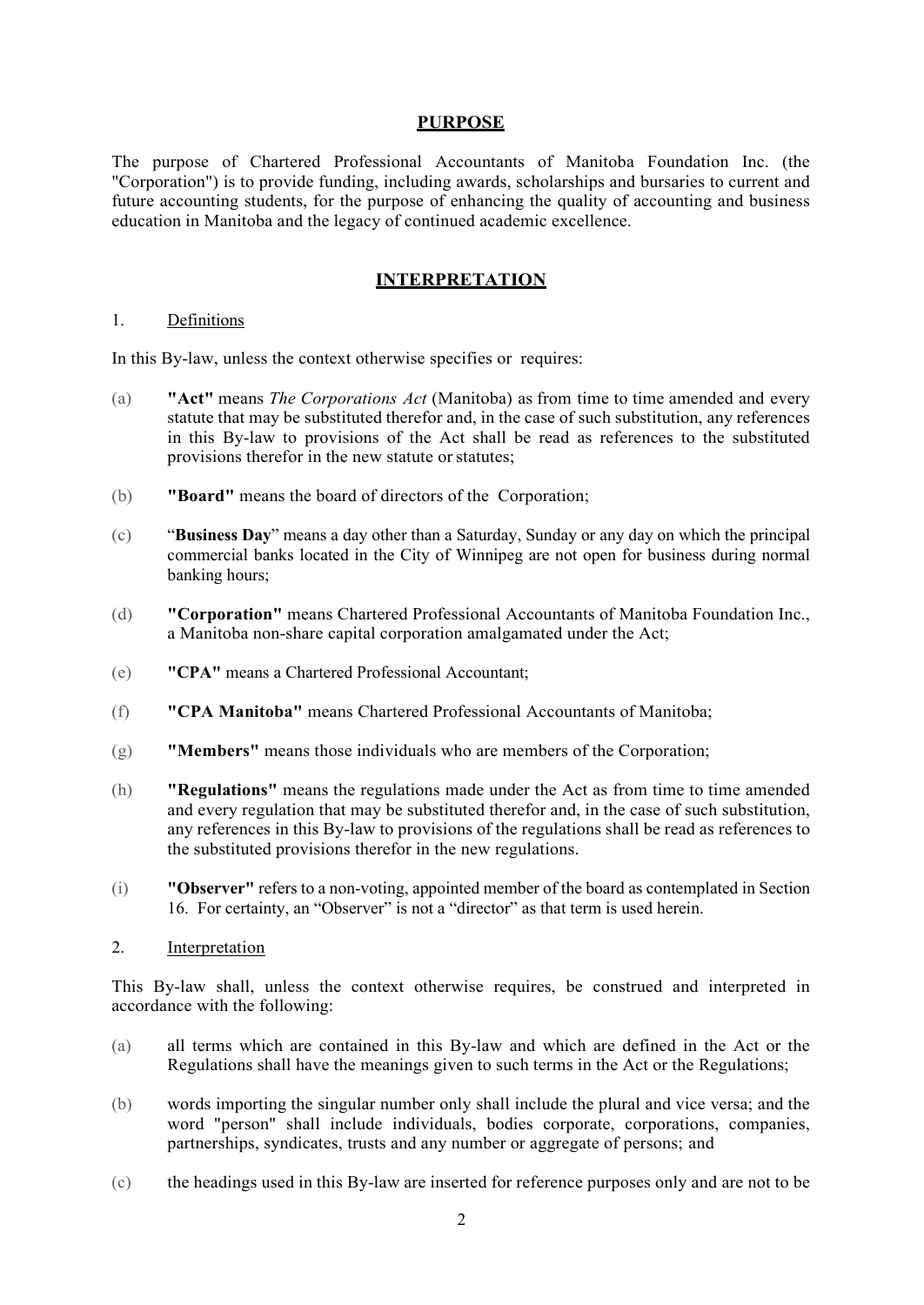#### **PURPOSE**

The purpose of Chartered Professional Accountants of Manitoba Foundation Inc. (the "Corporation") is to provide funding, including awards, scholarships and bursaries to current and future accounting students, for the purpose of enhancing the quality of accounting and business education in Manitoba and the legacy of continued academic excellence.

#### **INTERPRETATION**

#### 1. Definitions

In this By-law, unless the context otherwise specifies or requires:

- (a) **"Act"** means *The Corporations Act* (Manitoba) as from time to time amended and every statute that may be substituted therefor and, in the case of such substitution, any references in this By-law to provisions of the Act shall be read as references to the substituted provisions therefor in the new statute or statutes;
- (b) **"Board"** means the board of directors of the Corporation;
- (c) "**Business Day**" means a day other than a Saturday, Sunday or any day on which the principal commercial banks located in the City of Winnipeg are not open for business during normal banking hours;
- (d) **"Corporation"** means Chartered Professional Accountants of Manitoba Foundation Inc., a Manitoba non-share capital corporation amalgamated under the Act;
- (e) **"CPA"** means a Chartered Professional Accountant;
- (f) **"CPA Manitoba"** means Chartered Professional Accountants of Manitoba;
- (g) **"Members"** means those individuals who are members of the Corporation;
- (h) **"Regulations"** means the regulations made under the Act as from time to time amended and every regulation that may be substituted therefor and, in the case of such substitution, any references in this By-law to provisions of the regulations shall be read as references to the substituted provisions therefor in the new regulations.
- (i) **"Observer"** refers to a non-voting, appointed member of the board as contemplated in Section 16. For certainty, an "Observer" is not a "director" as that term is used herein.
- 2. Interpretation

This By-law shall, unless the context otherwise requires, be construed and interpreted in accordance with the following:

- (a) all terms which are contained in this By-law and which are defined in the Act or the Regulations shall have the meanings given to such terms in the Act or the Regulations;
- (b) words importing the singular number only shall include the plural and vice versa; and the word "person" shall include individuals, bodies corporate, corporations, companies, partnerships, syndicates, trusts and any number or aggregate of persons; and
- (c) the headings used in this By-law are inserted for reference purposes only and are not to be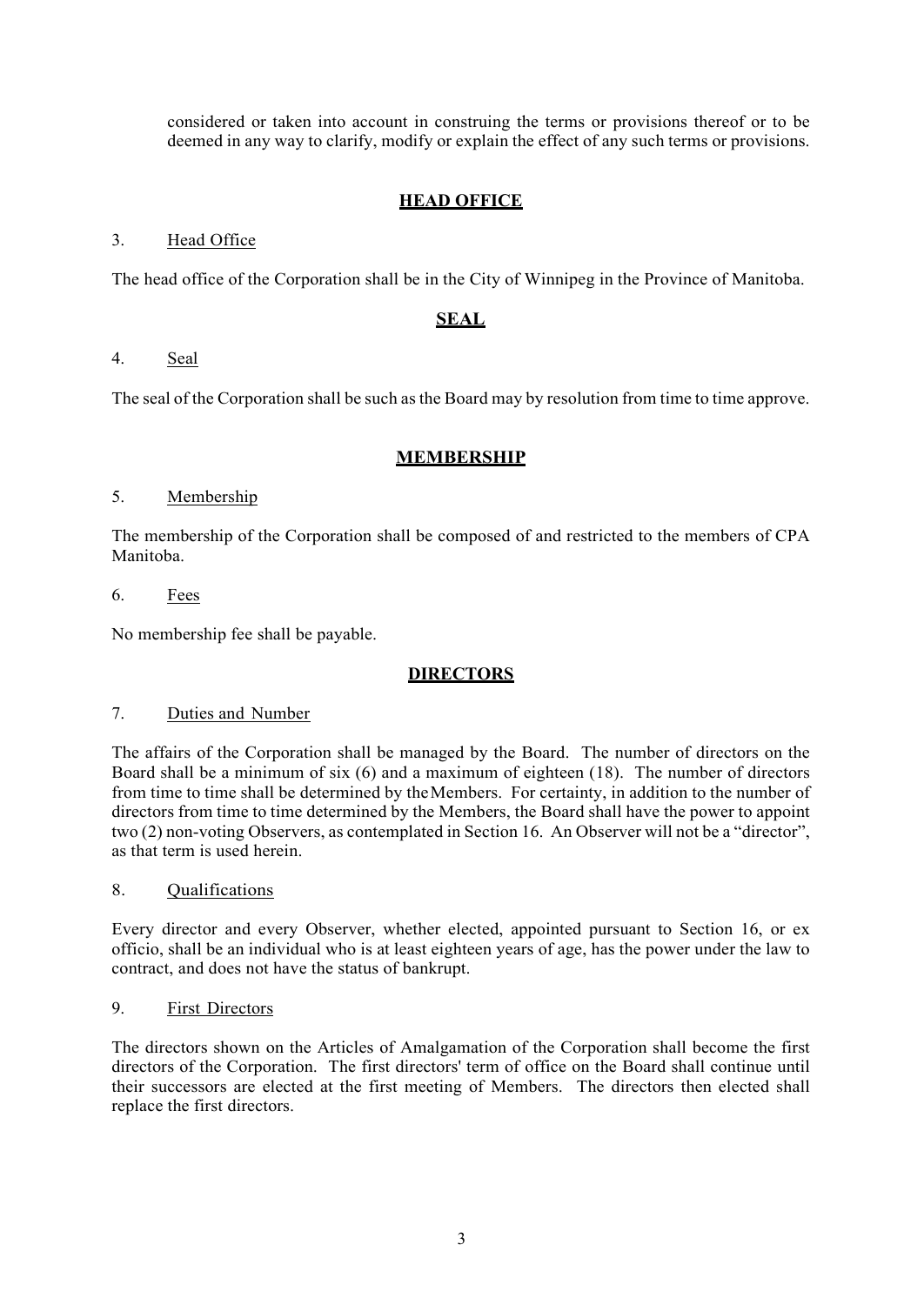considered or taken into account in construing the terms or provisions thereof or to be deemed in any way to clarify, modify or explain the effect of any such terms or provisions.

# **HEAD OFFICE**

## 3. Head Office

The head office of the Corporation shall be in the City of Winnipeg in the Province of Manitoba.

### **SEAL**

### 4. Seal

The seal of the Corporation shall be such as the Board may by resolution from time to time approve.

### **MEMBERSHIP**

### 5. Membership

The membership of the Corporation shall be composed of and restricted to the members of CPA Manitoba.

#### 6. Fees

No membership fee shall be payable.

# **DIRECTORS**

#### 7. Duties and Number

The affairs of the Corporation shall be managed by the Board. The number of directors on the Board shall be a minimum of six (6) and a maximum of eighteen (18). The number of directors from time to time shall be determined by theMembers. For certainty, in addition to the number of directors from time to time determined by the Members, the Board shall have the power to appoint two (2) non-voting Observers, as contemplated in Section 16. An Observer will not be a "director", as that term is used herein.

#### 8. Qualifications

Every director and every Observer, whether elected, appointed pursuant to Section 16, or ex officio, shall be an individual who is at least eighteen years of age, has the power under the law to contract, and does not have the status of bankrupt.

#### 9. First Directors

The directors shown on the Articles of Amalgamation of the Corporation shall become the first directors of the Corporation. The first directors' term of office on the Board shall continue until their successors are elected at the first meeting of Members. The directors then elected shall replace the first directors.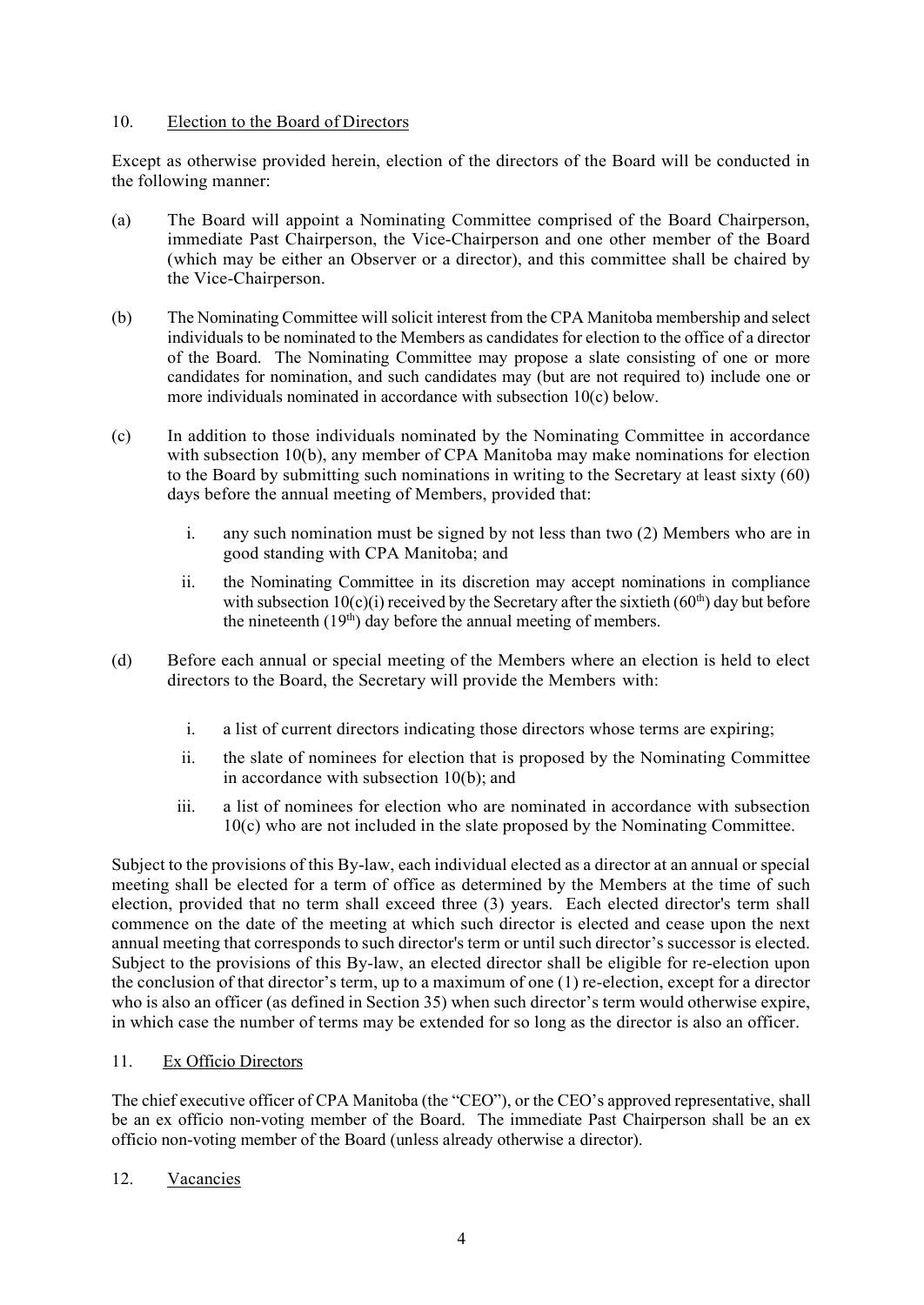#### 10. Election to the Board of Directors

Except as otherwise provided herein, election of the directors of the Board will be conducted in the following manner:

- (a) The Board will appoint a Nominating Committee comprised of the Board Chairperson, immediate Past Chairperson, the Vice-Chairperson and one other member of the Board (which may be either an Observer or a director), and this committee shall be chaired by the Vice-Chairperson.
- (b) The Nominating Committee will solicit interest from the CPA Manitoba membership and select individuals to be nominated to the Members as candidates for election to the office of a director of the Board. The Nominating Committee may propose a slate consisting of one or more candidates for nomination, and such candidates may (but are not required to) include one or more individuals nominated in accordance with subsection 10(c) below.
- (c) In addition to those individuals nominated by the Nominating Committee in accordance with subsection 10(b), any member of CPA Manitoba may make nominations for election to the Board by submitting such nominations in writing to the Secretary at least sixty (60) days before the annual meeting of Members, provided that:
	- i. any such nomination must be signed by not less than two (2) Members who are in good standing with CPA Manitoba; and
	- ii. the Nominating Committee in its discretion may accept nominations in compliance with subsection  $10(c)(i)$  received by the Secretary after the sixtieth  $(60<sup>th</sup>)$  day but before the nineteenth  $(19<sup>th</sup>)$  day before the annual meeting of members.
- (d) Before each annual or special meeting of the Members where an election is held to elect directors to the Board, the Secretary will provide the Members with:
	- i. a list of current directors indicating those directors whose terms are expiring;
	- ii. the slate of nominees for election that is proposed by the Nominating Committee in accordance with subsection 10(b); and
	- iii. a list of nominees for election who are nominated in accordance with subsection 10(c) who are not included in the slate proposed by the Nominating Committee.

Subject to the provisions of this By-law, each individual elected as a director at an annual or special meeting shall be elected for a term of office as determined by the Members at the time of such election, provided that no term shall exceed three (3) years. Each elected director's term shall commence on the date of the meeting at which such director is elected and cease upon the next annual meeting that corresponds to such director's term or until such director's successor is elected. Subject to the provisions of this By-law, an elected director shall be eligible for re-election upon the conclusion of that director's term, up to a maximum of one (1) re-election, except for a director who is also an officer (as defined in Section 35) when such director's term would otherwise expire, in which case the number of terms may be extended for so long as the director is also an officer.

#### 11. Ex Officio Directors

The chief executive officer of CPA Manitoba (the "CEO"), or the CEO's approved representative, shall be an ex officio non-voting member of the Board. The immediate Past Chairperson shall be an ex officio non-voting member of the Board (unless already otherwise a director).

# 12. Vacancies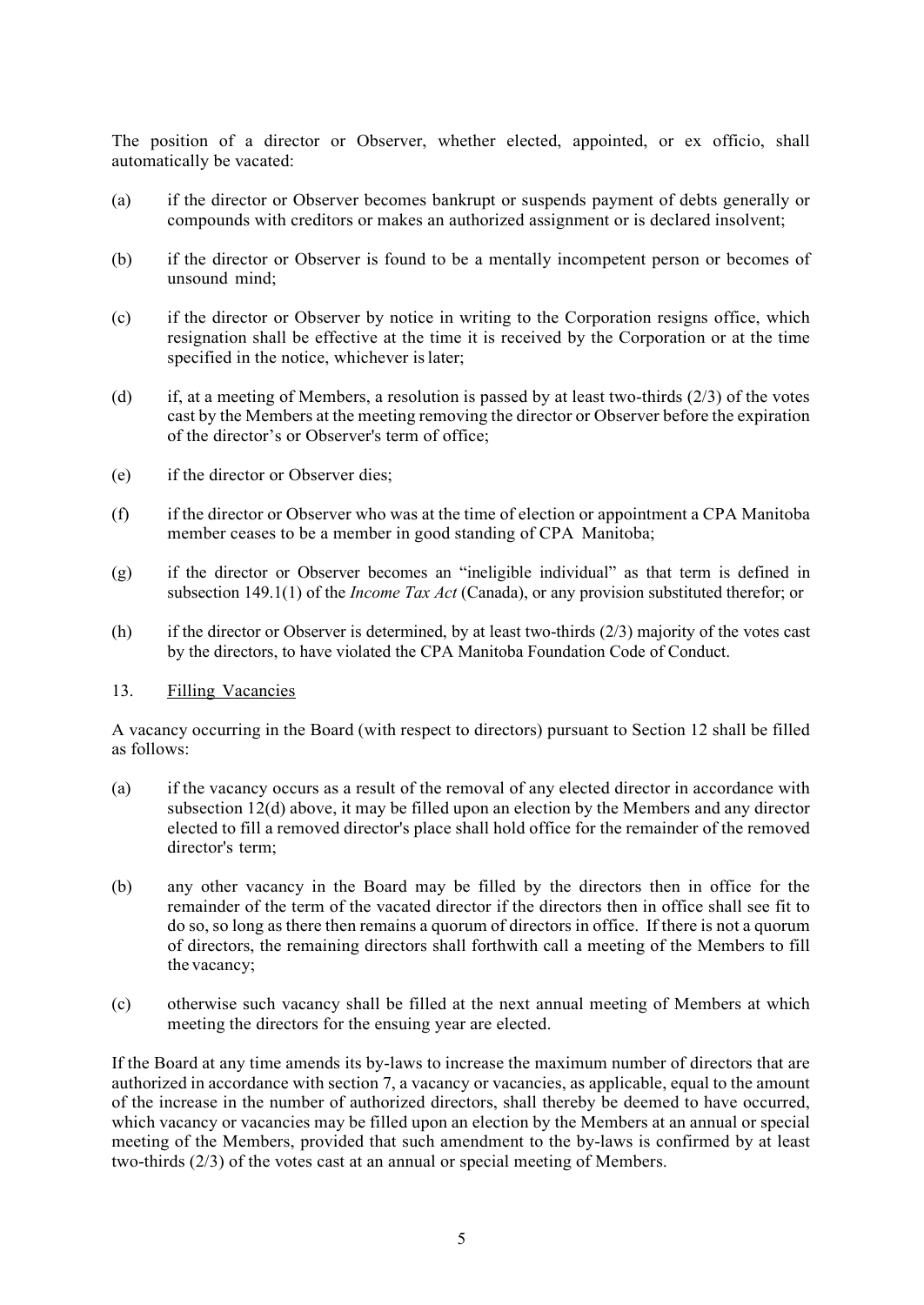The position of a director or Observer, whether elected, appointed, or ex officio, shall automatically be vacated:

- (a) if the director or Observer becomes bankrupt or suspends payment of debts generally or compounds with creditors or makes an authorized assignment or is declared insolvent;
- (b) if the director or Observer is found to be a mentally incompetent person or becomes of unsound mind;
- (c) if the director or Observer by notice in writing to the Corporation resigns office, which resignation shall be effective at the time it is received by the Corporation or at the time specified in the notice, whichever is later:
- (d) if, at a meeting of Members, a resolution is passed by at least two-thirds  $(2/3)$  of the votes cast by the Members at the meeting removing the director or Observer before the expiration of the director's or Observer's term of office;
- (e) if the director or Observer dies;
- (f) if the director or Observer who was at the time of election or appointment a CPA Manitoba member ceases to be a member in good standing of CPA Manitoba;
- (g) if the director or Observer becomes an "ineligible individual" as that term is defined in subsection 149.1(1) of the *Income Tax Act* (Canada), or any provision substituted therefor; or
- (h) if the director or Observer is determined, by at least two-thirds (2/3) majority of the votes cast by the directors, to have violated the CPA Manitoba Foundation Code of Conduct.

#### 13. Filling Vacancies

A vacancy occurring in the Board (with respect to directors) pursuant to Section 12 shall be filled as follows:

- (a) if the vacancy occurs as a result of the removal of any elected director in accordance with subsection 12(d) above, it may be filled upon an election by the Members and any director elected to fill a removed director's place shall hold office for the remainder of the removed director's term;
- (b) any other vacancy in the Board may be filled by the directors then in office for the remainder of the term of the vacated director if the directors then in office shall see fit to do so, so long as there then remains a quorum of directors in office. If there is not a quorum of directors, the remaining directors shall forthwith call a meeting of the Members to fill the vacancy;
- (c) otherwise such vacancy shall be filled at the next annual meeting of Members at which meeting the directors for the ensuing year are elected.

If the Board at any time amends its by-laws to increase the maximum number of directors that are authorized in accordance with section 7, a vacancy or vacancies, as applicable, equal to the amount of the increase in the number of authorized directors, shall thereby be deemed to have occurred, which vacancy or vacancies may be filled upon an election by the Members at an annual or special meeting of the Members, provided that such amendment to the by-laws is confirmed by at least two-thirds (2/3) of the votes cast at an annual or special meeting of Members.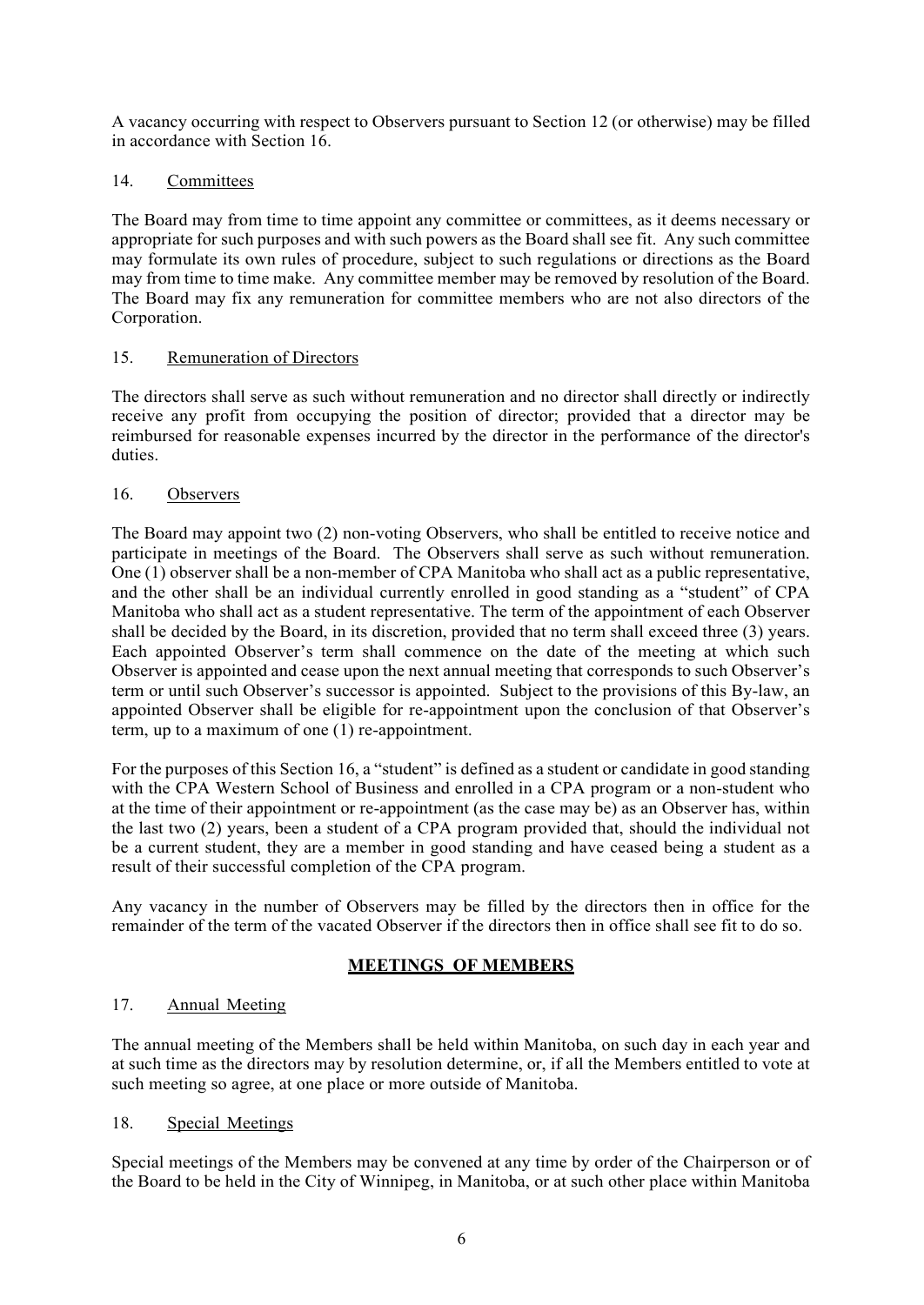A vacancy occurring with respect to Observers pursuant to Section 12 (or otherwise) may be filled in accordance with Section 16.

## 14. Committees

The Board may from time to time appoint any committee or committees, as it deems necessary or appropriate for such purposes and with such powers as the Board shall see fit. Any such committee may formulate its own rules of procedure, subject to such regulations or directions as the Board may from time to time make. Any committee member may be removed by resolution of the Board. The Board may fix any remuneration for committee members who are not also directors of the Corporation.

### 15. Remuneration of Directors

The directors shall serve as such without remuneration and no director shall directly or indirectly receive any profit from occupying the position of director; provided that a director may be reimbursed for reasonable expenses incurred by the director in the performance of the director's duties.

### 16. Observers

The Board may appoint two (2) non-voting Observers, who shall be entitled to receive notice and participate in meetings of the Board. The Observers shall serve as such without remuneration. One (1) observer shall be a non-member of CPA Manitoba who shall act as a public representative, and the other shall be an individual currently enrolled in good standing as a "student" of CPA Manitoba who shall act as a student representative. The term of the appointment of each Observer shall be decided by the Board, in its discretion, provided that no term shall exceed three (3) years. Each appointed Observer's term shall commence on the date of the meeting at which such Observer is appointed and cease upon the next annual meeting that corresponds to such Observer's term or until such Observer's successor is appointed. Subject to the provisions of this By-law, an appointed Observer shall be eligible for re-appointment upon the conclusion of that Observer's term, up to a maximum of one (1) re-appointment.

For the purposes of this Section 16, a "student" is defined as a student or candidate in good standing with the CPA Western School of Business and enrolled in a CPA program or a non-student who at the time of their appointment or re-appointment (as the case may be) as an Observer has, within the last two (2) years, been a student of a CPA program provided that, should the individual not be a current student, they are a member in good standing and have ceased being a student as a result of their successful completion of the CPA program.

Any vacancy in the number of Observers may be filled by the directors then in office for the remainder of the term of the vacated Observer if the directors then in office shall see fit to do so.

# **MEETINGS OF MEMBERS**

# 17. Annual Meeting

The annual meeting of the Members shall be held within Manitoba, on such day in each year and at such time as the directors may by resolution determine, or, if all the Members entitled to vote at such meeting so agree, at one place or more outside of Manitoba.

#### 18. Special Meetings

Special meetings of the Members may be convened at any time by order of the Chairperson or of the Board to be held in the City of Winnipeg, in Manitoba, or at such other place within Manitoba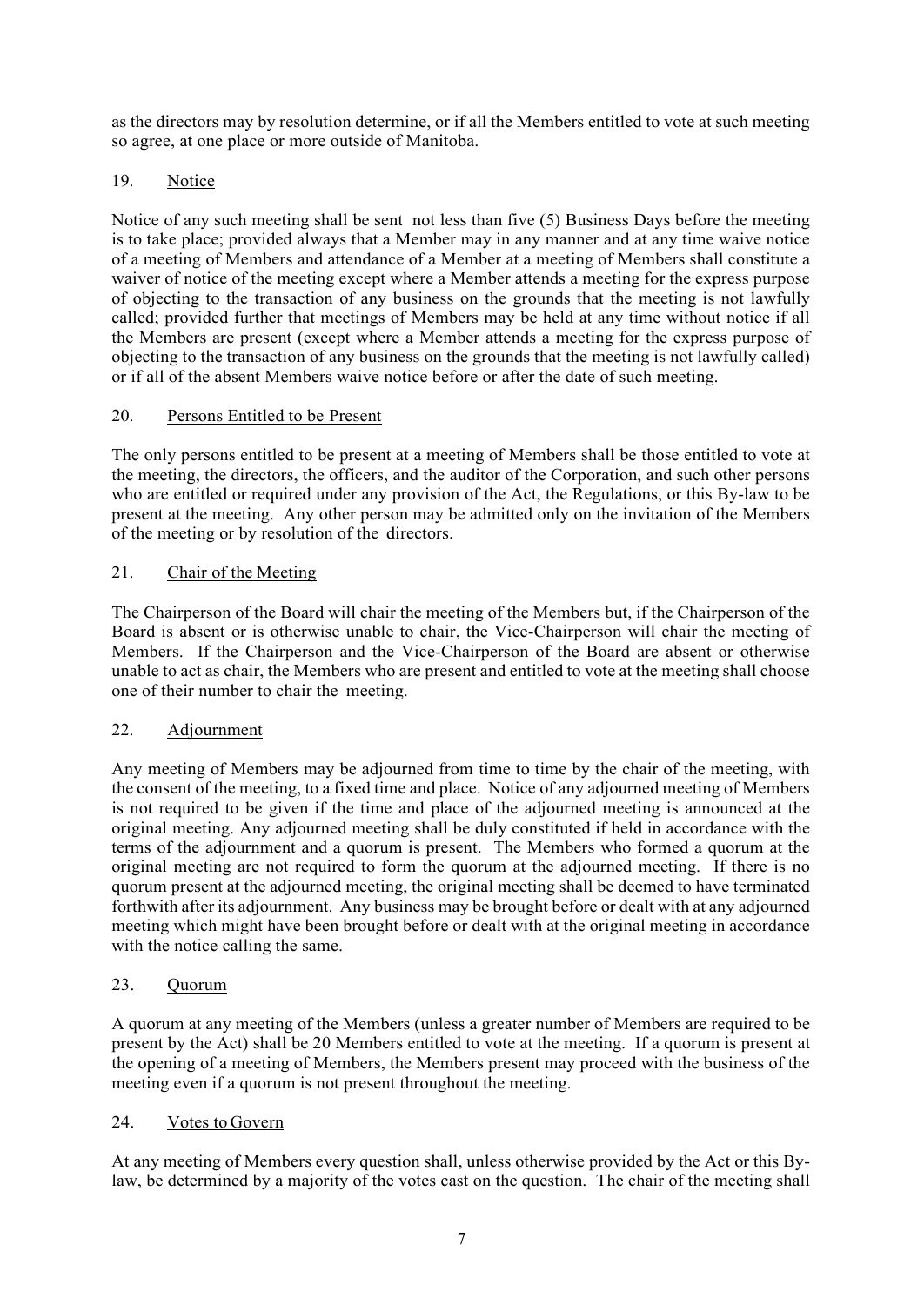as the directors may by resolution determine, or if all the Members entitled to vote at such meeting so agree, at one place or more outside of Manitoba.

# 19. Notice

Notice of any such meeting shall be sent not less than five (5) Business Days before the meeting is to take place; provided always that a Member may in any manner and at any time waive notice of a meeting of Members and attendance of a Member at a meeting of Members shall constitute a waiver of notice of the meeting except where a Member attends a meeting for the express purpose of objecting to the transaction of any business on the grounds that the meeting is not lawfully called; provided further that meetings of Members may be held at any time without notice if all the Members are present (except where a Member attends a meeting for the express purpose of objecting to the transaction of any business on the grounds that the meeting is not lawfully called) or if all of the absent Members waive notice before or after the date of such meeting.

### 20. Persons Entitled to be Present

The only persons entitled to be present at a meeting of Members shall be those entitled to vote at the meeting, the directors, the officers, and the auditor of the Corporation, and such other persons who are entitled or required under any provision of the Act, the Regulations, or this By-law to be present at the meeting. Any other person may be admitted only on the invitation of the Members of the meeting or by resolution of the directors.

### 21. Chair of the Meeting

The Chairperson of the Board will chair the meeting of the Members but, if the Chairperson of the Board is absent or is otherwise unable to chair, the Vice-Chairperson will chair the meeting of Members. If the Chairperson and the Vice-Chairperson of the Board are absent or otherwise unable to act as chair, the Members who are present and entitled to vote at the meeting shall choose one of their number to chair the meeting.

# 22. Adjournment

Any meeting of Members may be adjourned from time to time by the chair of the meeting, with the consent of the meeting, to a fixed time and place. Notice of any adjourned meeting of Members is not required to be given if the time and place of the adjourned meeting is announced at the original meeting. Any adjourned meeting shall be duly constituted if held in accordance with the terms of the adjournment and a quorum is present. The Members who formed a quorum at the original meeting are not required to form the quorum at the adjourned meeting. If there is no quorum present at the adjourned meeting, the original meeting shall be deemed to have terminated forthwith after its adjournment. Any business may be brought before or dealt with at any adjourned meeting which might have been brought before or dealt with at the original meeting in accordance with the notice calling the same.

# 23. Quorum

A quorum at any meeting of the Members (unless a greater number of Members are required to be present by the Act) shall be 20 Members entitled to vote at the meeting. If a quorum is present at the opening of a meeting of Members, the Members present may proceed with the business of the meeting even if a quorum is not present throughout the meeting.

#### 24. Votes to Govern

At any meeting of Members every question shall, unless otherwise provided by the Act or this Bylaw, be determined by a majority of the votes cast on the question. The chair of the meeting shall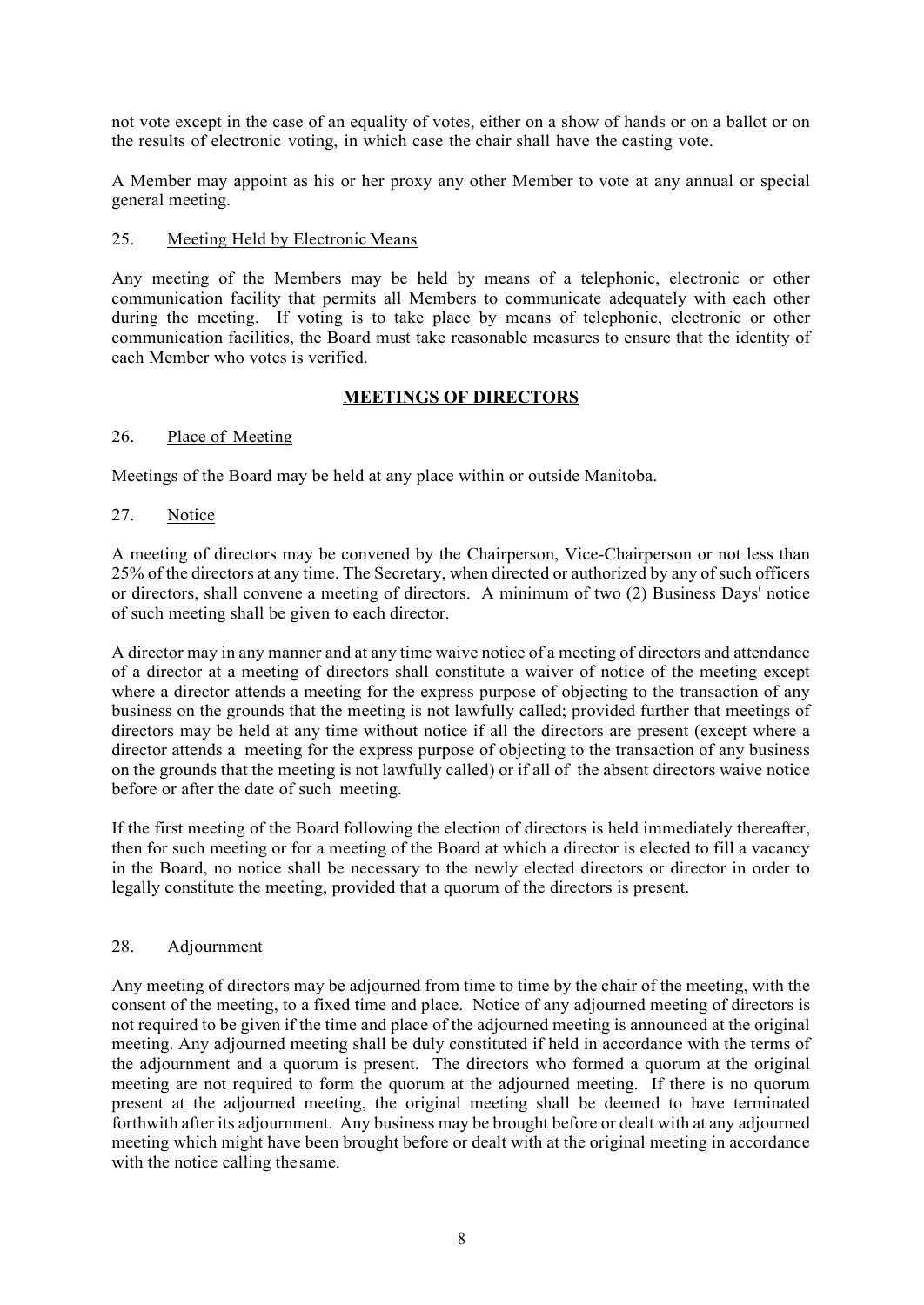not vote except in the case of an equality of votes, either on a show of hands or on a ballot or on the results of electronic voting, in which case the chair shall have the casting vote.

A Member may appoint as his or her proxy any other Member to vote at any annual or special general meeting.

#### 25. Meeting Held by Electronic Means

Any meeting of the Members may be held by means of a telephonic, electronic or other communication facility that permits all Members to communicate adequately with each other during the meeting. If voting is to take place by means of telephonic, electronic or other communication facilities, the Board must take reasonable measures to ensure that the identity of each Member who votes is verified.

### **MEETINGS OF DIRECTORS**

#### 26. Place of Meeting

Meetings of the Board may be held at any place within or outside Manitoba.

#### 27. Notice

A meeting of directors may be convened by the Chairperson, Vice-Chairperson or not less than 25% of the directors at any time. The Secretary, when directed or authorized by any of such officers or directors, shall convene a meeting of directors. A minimum of two (2) Business Days' notice of such meeting shall be given to each director.

A director may in any manner and at any time waive notice of a meeting of directors and attendance of a director at a meeting of directors shall constitute a waiver of notice of the meeting except where a director attends a meeting for the express purpose of objecting to the transaction of any business on the grounds that the meeting is not lawfully called; provided further that meetings of directors may be held at any time without notice if all the directors are present (except where a director attends a meeting for the express purpose of objecting to the transaction of any business on the grounds that the meeting is not lawfully called) or if all of the absent directors waive notice before or after the date of such meeting.

If the first meeting of the Board following the election of directors is held immediately thereafter, then for such meeting or for a meeting of the Board at which a director is elected to fill a vacancy in the Board, no notice shall be necessary to the newly elected directors or director in order to legally constitute the meeting, provided that a quorum of the directors is present.

#### 28. Adjournment

Any meeting of directors may be adjourned from time to time by the chair of the meeting, with the consent of the meeting, to a fixed time and place. Notice of any adjourned meeting of directors is not required to be given if the time and place of the adjourned meeting is announced at the original meeting. Any adjourned meeting shall be duly constituted if held in accordance with the terms of the adjournment and a quorum is present. The directors who formed a quorum at the original meeting are not required to form the quorum at the adjourned meeting. If there is no quorum present at the adjourned meeting, the original meeting shall be deemed to have terminated forthwith after its adjournment. Any business may be brought before or dealt with at any adjourned meeting which might have been brought before or dealt with at the original meeting in accordance with the notice calling thesame.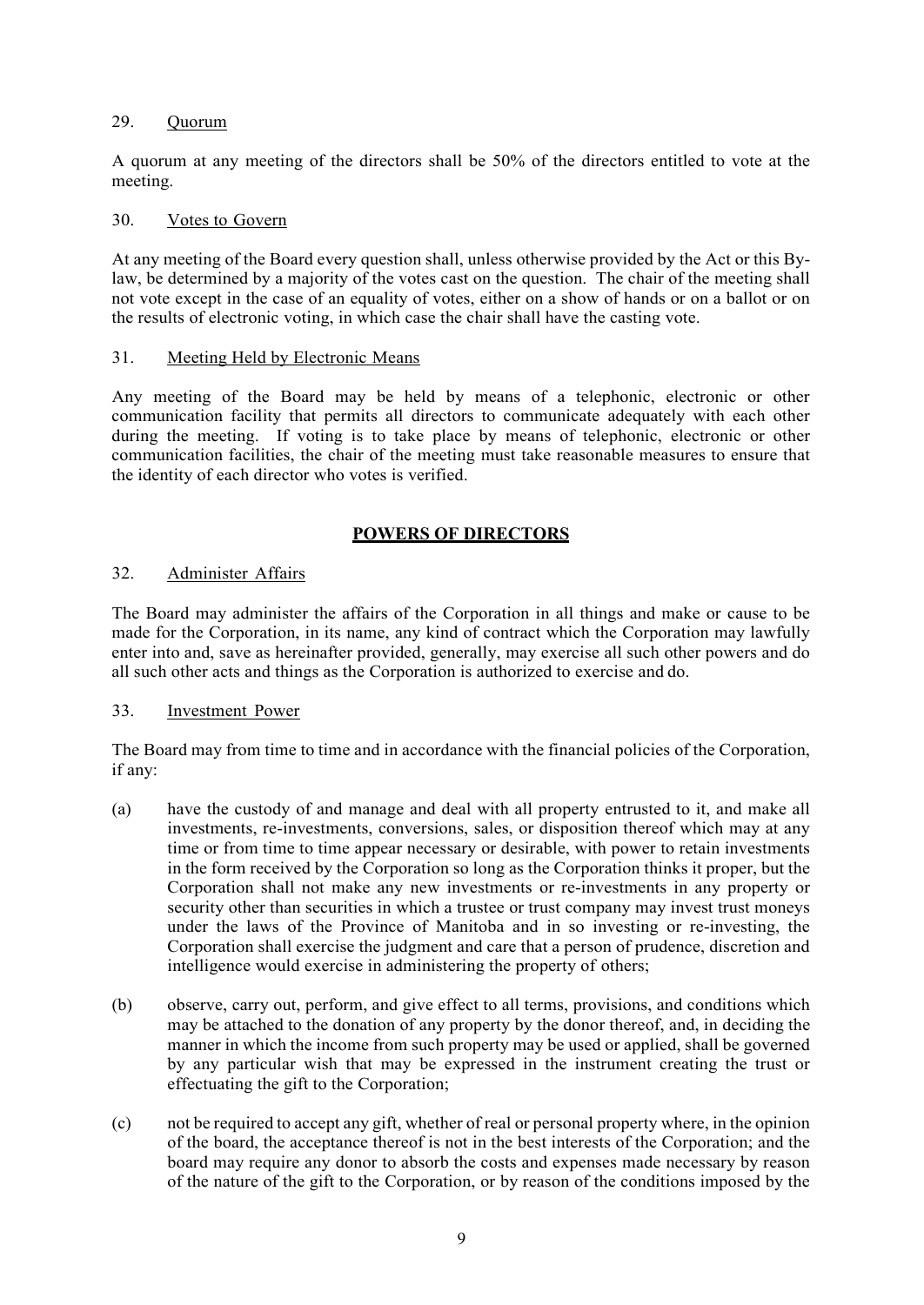#### 29. Quorum

A quorum at any meeting of the directors shall be 50% of the directors entitled to vote at the meeting.

#### 30. Votes to Govern

At any meeting of the Board every question shall, unless otherwise provided by the Act or this Bylaw, be determined by a majority of the votes cast on the question. The chair of the meeting shall not vote except in the case of an equality of votes, either on a show of hands or on a ballot or on the results of electronic voting, in which case the chair shall have the casting vote.

### 31. Meeting Held by Electronic Means

Any meeting of the Board may be held by means of a telephonic, electronic or other communication facility that permits all directors to communicate adequately with each other during the meeting. If voting is to take place by means of telephonic, electronic or other communication facilities, the chair of the meeting must take reasonable measures to ensure that the identity of each director who votes is verified.

# **POWERS OF DIRECTORS**

# 32. Administer Affairs

The Board may administer the affairs of the Corporation in all things and make or cause to be made for the Corporation, in its name, any kind of contract which the Corporation may lawfully enter into and, save as hereinafter provided, generally, may exercise all such other powers and do all such other acts and things as the Corporation is authorized to exercise and do.

# 33. Investment Power

The Board may from time to time and in accordance with the financial policies of the Corporation, if any:

- (a) have the custody of and manage and deal with all property entrusted to it, and make all investments, re-investments, conversions, sales, or disposition thereof which may at any time or from time to time appear necessary or desirable, with power to retain investments in the form received by the Corporation so long as the Corporation thinks it proper, but the Corporation shall not make any new investments or re-investments in any property or security other than securities in which a trustee or trust company may invest trust moneys under the laws of the Province of Manitoba and in so investing or re-investing, the Corporation shall exercise the judgment and care that a person of prudence, discretion and intelligence would exercise in administering the property of others;
- (b) observe, carry out, perform, and give effect to all terms, provisions, and conditions which may be attached to the donation of any property by the donor thereof, and, in deciding the manner in which the income from such property may be used or applied, shall be governed by any particular wish that may be expressed in the instrument creating the trust or effectuating the gift to the Corporation;
- (c) not be required to accept any gift, whether of real or personal property where, in the opinion of the board, the acceptance thereof is not in the best interests of the Corporation; and the board may require any donor to absorb the costs and expenses made necessary by reason of the nature of the gift to the Corporation, or by reason of the conditions imposed by the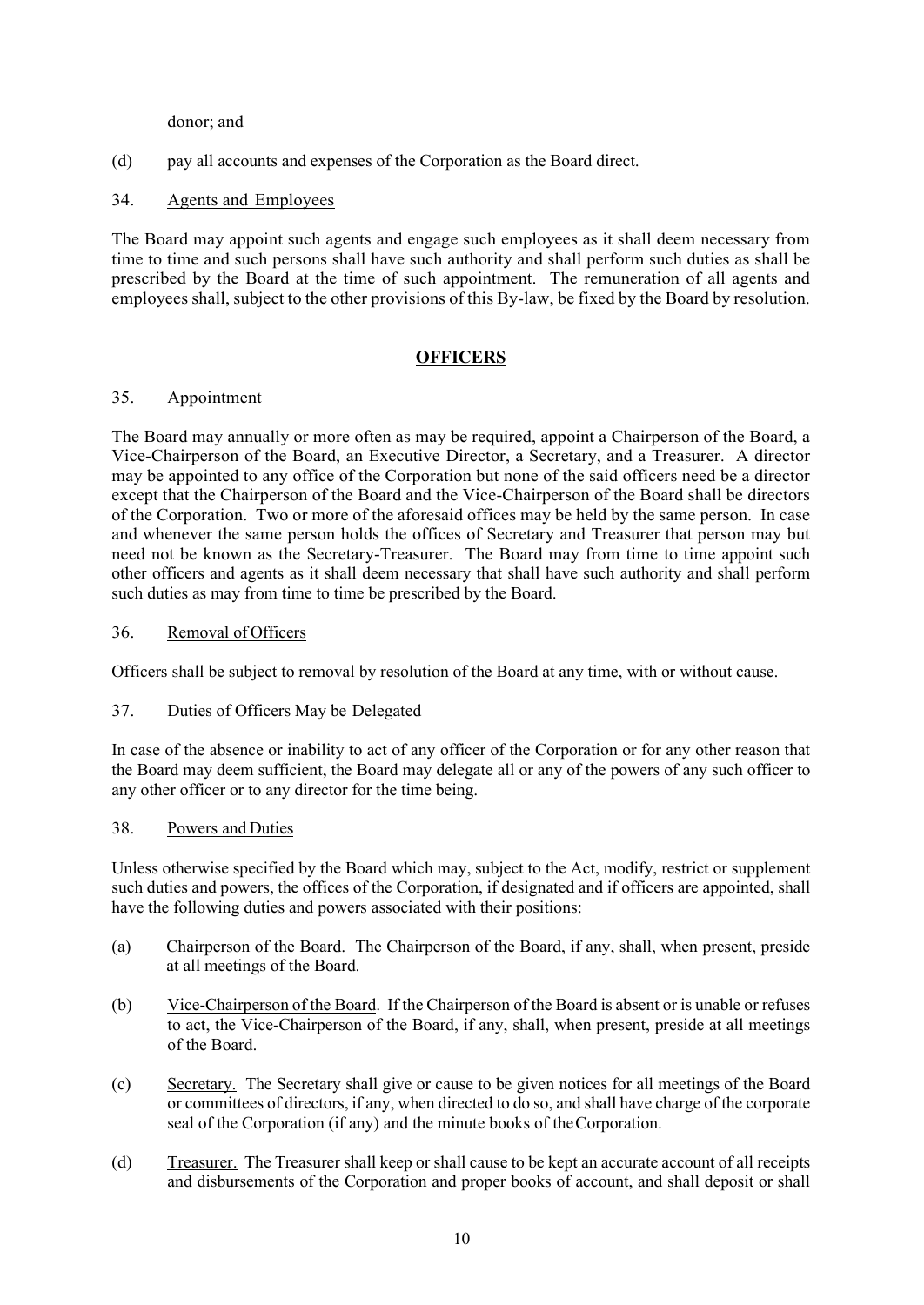donor; and

(d) pay all accounts and expenses of the Corporation as the Board direct.

### 34. Agents and Employees

The Board may appoint such agents and engage such employees as it shall deem necessary from time to time and such persons shall have such authority and shall perform such duties as shall be prescribed by the Board at the time of such appointment. The remuneration of all agents and employees shall, subject to the other provisions of this By-law, be fixed by the Board by resolution.

# **OFFICERS**

#### 35. Appointment

The Board may annually or more often as may be required, appoint a Chairperson of the Board, a Vice-Chairperson of the Board, an Executive Director, a Secretary, and a Treasurer. A director may be appointed to any office of the Corporation but none of the said officers need be a director except that the Chairperson of the Board and the Vice-Chairperson of the Board shall be directors of the Corporation. Two or more of the aforesaid offices may be held by the same person. In case and whenever the same person holds the offices of Secretary and Treasurer that person may but need not be known as the Secretary-Treasurer. The Board may from time to time appoint such other officers and agents as it shall deem necessary that shall have such authority and shall perform such duties as may from time to time be prescribed by the Board.

#### 36. Removal of Officers

Officers shall be subject to removal by resolution of the Board at any time, with or without cause.

#### 37. Duties of Officers May be Delegated

In case of the absence or inability to act of any officer of the Corporation or for any other reason that the Board may deem sufficient, the Board may delegate all or any of the powers of any such officer to any other officer or to any director for the time being.

#### 38. Powers and Duties

Unless otherwise specified by the Board which may, subject to the Act, modify, restrict or supplement such duties and powers, the offices of the Corporation, if designated and if officers are appointed, shall have the following duties and powers associated with their positions:

- (a) Chairperson of the Board. The Chairperson of the Board, if any, shall, when present, preside at all meetings of the Board.
- (b) Vice-Chairperson of the Board. If the Chairperson of the Board is absent or is unable or refuses to act, the Vice-Chairperson of the Board, if any, shall, when present, preside at all meetings of the Board.
- (c) Secretary. The Secretary shall give or cause to be given notices for all meetings of the Board or committees of directors, if any, when directed to do so, and shall have charge of the corporate seal of the Corporation (if any) and the minute books of the Corporation.
- (d) Treasurer. The Treasurer shall keep or shall cause to be kept an accurate account of all receipts and disbursements of the Corporation and proper books of account, and shall deposit or shall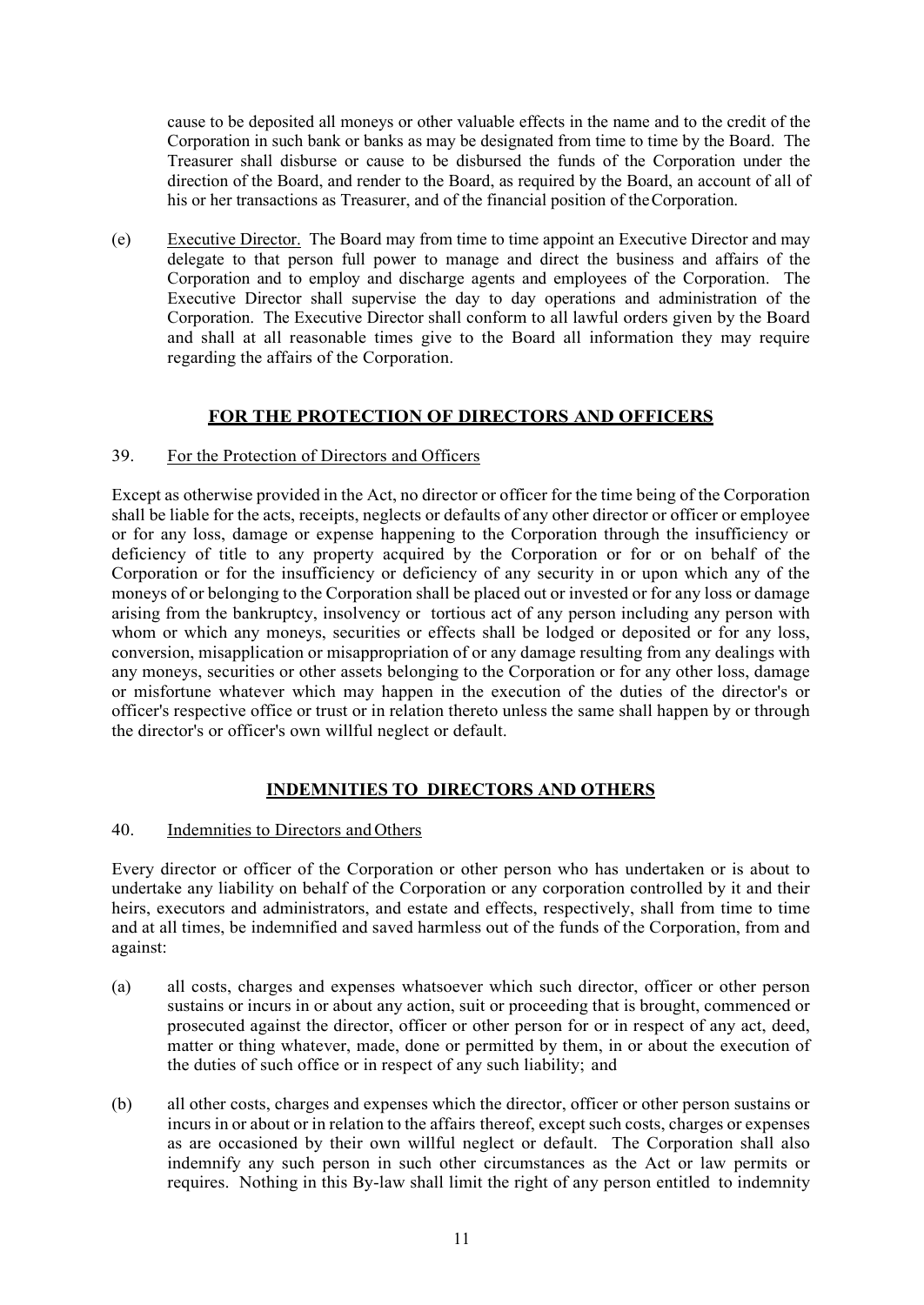cause to be deposited all moneys or other valuable effects in the name and to the credit of the Corporation in such bank or banks as may be designated from time to time by the Board. The Treasurer shall disburse or cause to be disbursed the funds of the Corporation under the direction of the Board, and render to the Board, as required by the Board, an account of all of his or her transactions as Treasurer, and of the financial position of the Corporation.

(e) Executive Director. The Board may from time to time appoint an Executive Director and may delegate to that person full power to manage and direct the business and affairs of the Corporation and to employ and discharge agents and employees of the Corporation. The Executive Director shall supervise the day to day operations and administration of the Corporation. The Executive Director shall conform to all lawful orders given by the Board and shall at all reasonable times give to the Board all information they may require regarding the affairs of the Corporation.

# **FOR THE PROTECTION OF DIRECTORS AND OFFICERS**

### 39. For the Protection of Directors and Officers

Except as otherwise provided in the Act, no director or officer for the time being of the Corporation shall be liable for the acts, receipts, neglects or defaults of any other director or officer or employee or for any loss, damage or expense happening to the Corporation through the insufficiency or deficiency of title to any property acquired by the Corporation or for or on behalf of the Corporation or for the insufficiency or deficiency of any security in or upon which any of the moneys of or belonging to the Corporation shall be placed out or invested or for any loss or damage arising from the bankruptcy, insolvency or tortious act of any person including any person with whom or which any moneys, securities or effects shall be lodged or deposited or for any loss, conversion, misapplication or misappropriation of or any damage resulting from any dealings with any moneys, securities or other assets belonging to the Corporation or for any other loss, damage or misfortune whatever which may happen in the execution of the duties of the director's or officer's respective office or trust or in relation thereto unless the same shall happen by or through the director's or officer's own willful neglect or default.

# **INDEMNITIES TO DIRECTORS AND OTHERS**

#### 40. Indemnities to Directors and Others

Every director or officer of the Corporation or other person who has undertaken or is about to undertake any liability on behalf of the Corporation or any corporation controlled by it and their heirs, executors and administrators, and estate and effects, respectively, shall from time to time and at all times, be indemnified and saved harmless out of the funds of the Corporation, from and against:

- (a) all costs, charges and expenses whatsoever which such director, officer or other person sustains or incurs in or about any action, suit or proceeding that is brought, commenced or prosecuted against the director, officer or other person for or in respect of any act, deed, matter or thing whatever, made, done or permitted by them, in or about the execution of the duties of such office or in respect of any such liability; and
- (b) all other costs, charges and expenses which the director, officer or other person sustains or incurs in or about or in relation to the affairs thereof, except such costs, charges or expenses as are occasioned by their own willful neglect or default. The Corporation shall also indemnify any such person in such other circumstances as the Act or law permits or requires. Nothing in this By-law shall limit the right of any person entitled to indemnity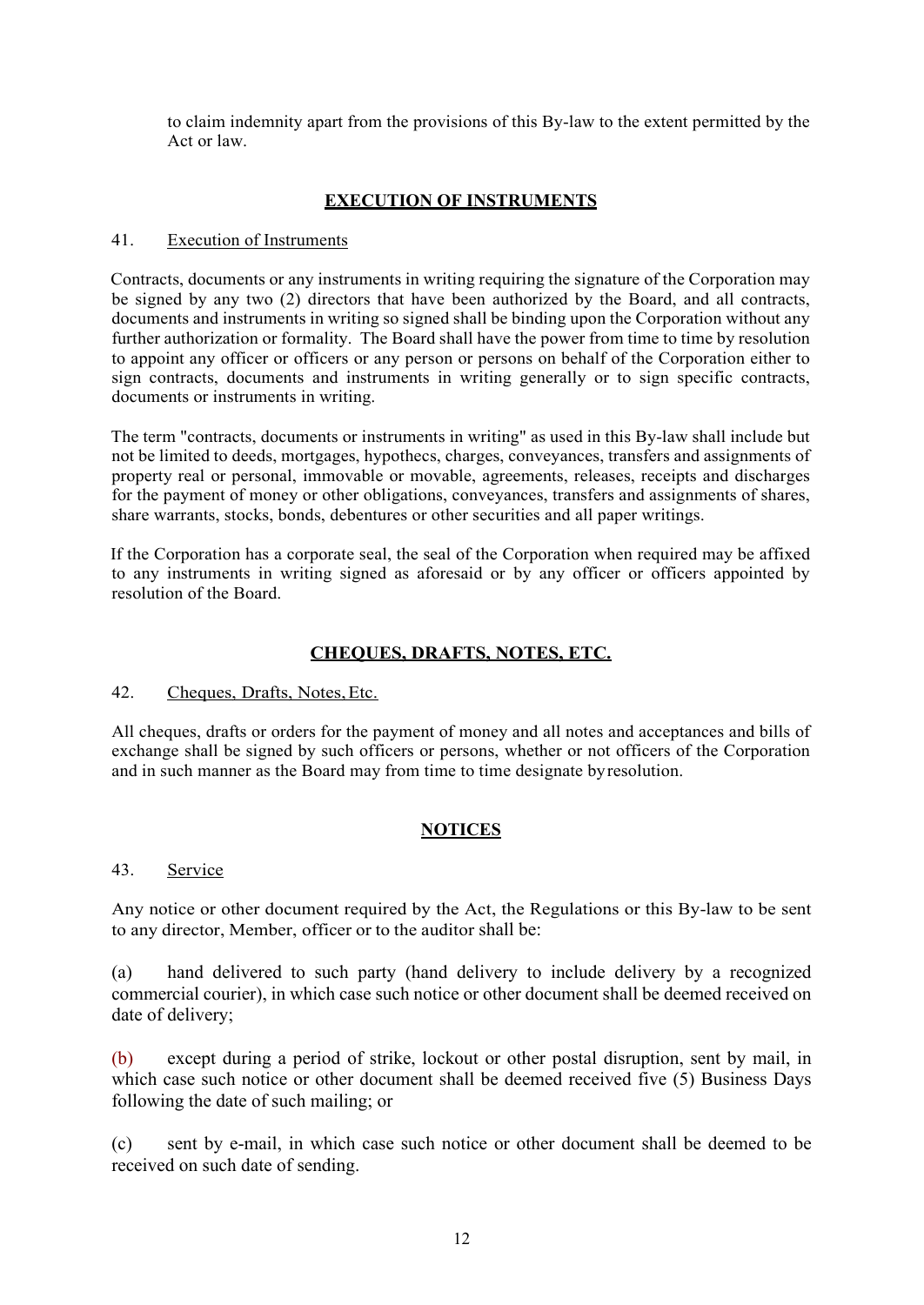to claim indemnity apart from the provisions of this By-law to the extent permitted by the Act or law.

# **EXECUTION OF INSTRUMENTS**

### 41. Execution of Instruments

Contracts, documents or any instruments in writing requiring the signature of the Corporation may be signed by any two (2) directors that have been authorized by the Board, and all contracts, documents and instruments in writing so signed shall be binding upon the Corporation without any further authorization or formality. The Board shall have the power from time to time by resolution to appoint any officer or officers or any person or persons on behalf of the Corporation either to sign contracts, documents and instruments in writing generally or to sign specific contracts, documents or instruments in writing.

The term "contracts, documents or instruments in writing" as used in this By-law shall include but not be limited to deeds, mortgages, hypothecs, charges, conveyances, transfers and assignments of property real or personal, immovable or movable, agreements, releases, receipts and discharges for the payment of money or other obligations, conveyances, transfers and assignments of shares, share warrants, stocks, bonds, debentures or other securities and all paper writings.

If the Corporation has a corporate seal, the seal of the Corporation when required may be affixed to any instruments in writing signed as aforesaid or by any officer or officers appointed by resolution of the Board.

# **CHEQUES, DRAFTS, NOTES, ETC.**

# 42. Cheques, Drafts, Notes,Etc.

All cheques, drafts or orders for the payment of money and all notes and acceptances and bills of exchange shall be signed by such officers or persons, whether or not officers of the Corporation and in such manner as the Board may from time to time designate byresolution.

# **NOTICES**

#### 43. Service

Any notice or other document required by the Act, the Regulations or this By-law to be sent to any director, Member, officer or to the auditor shall be:

(a) hand delivered to such party (hand delivery to include delivery by a recognized commercial courier), in which case such notice or other document shall be deemed received on date of delivery;

(b) except during a period of strike, lockout or other postal disruption, sent by mail, in which case such notice or other document shall be deemed received five (5) Business Days following the date of such mailing; or

(c) sent by e-mail, in which case such notice or other document shall be deemed to be received on such date of sending.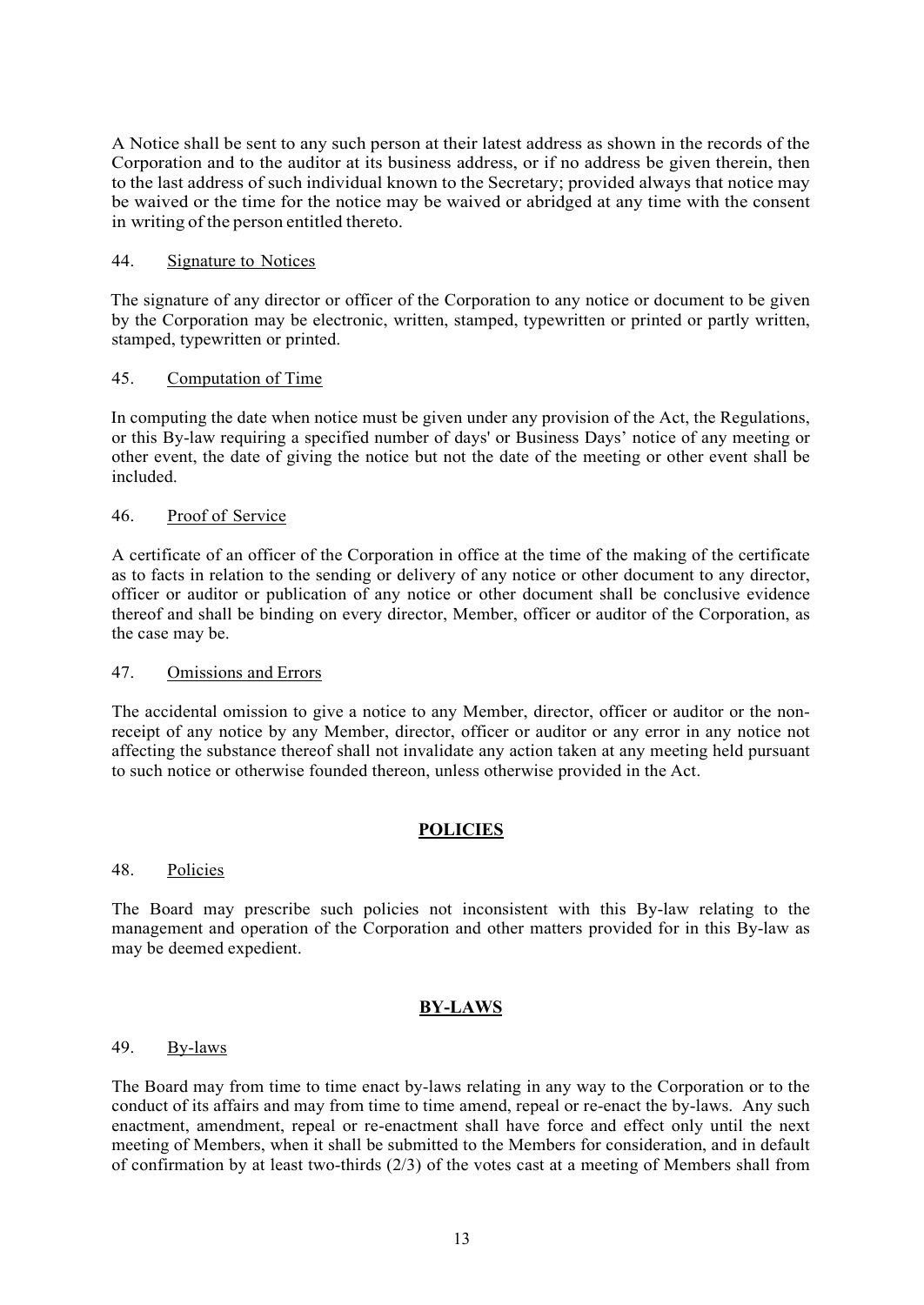A Notice shall be sent to any such person at their latest address as shown in the records of the Corporation and to the auditor at its business address, or if no address be given therein, then to the last address of such individual known to the Secretary; provided always that notice may be waived or the time for the notice may be waived or abridged at any time with the consent in writing of the person entitled thereto.

#### 44. Signature to Notices

The signature of any director or officer of the Corporation to any notice or document to be given by the Corporation may be electronic, written, stamped, typewritten or printed or partly written, stamped, typewritten or printed.

### 45. Computation of Time

In computing the date when notice must be given under any provision of the Act, the Regulations, or this By-law requiring a specified number of days' or Business Days' notice of any meeting or other event, the date of giving the notice but not the date of the meeting or other event shall be included.

### 46. Proof of Service

A certificate of an officer of the Corporation in office at the time of the making of the certificate as to facts in relation to the sending or delivery of any notice or other document to any director, officer or auditor or publication of any notice or other document shall be conclusive evidence thereof and shall be binding on every director, Member, officer or auditor of the Corporation, as the case may be.

#### 47. Omissions and Errors

The accidental omission to give a notice to any Member, director, officer or auditor or the nonreceipt of any notice by any Member, director, officer or auditor or any error in any notice not affecting the substance thereof shall not invalidate any action taken at any meeting held pursuant to such notice or otherwise founded thereon, unless otherwise provided in the Act.

# **POLICIES**

#### 48. Policies

The Board may prescribe such policies not inconsistent with this By-law relating to the management and operation of the Corporation and other matters provided for in this By-law as may be deemed expedient.

# **BY-LAWS**

#### 49. By-laws

The Board may from time to time enact by-laws relating in any way to the Corporation or to the conduct of its affairs and may from time to time amend, repeal or re-enact the by-laws. Any such enactment, amendment, repeal or re-enactment shall have force and effect only until the next meeting of Members, when it shall be submitted to the Members for consideration, and in default of confirmation by at least two-thirds  $(2/3)$  of the votes cast at a meeting of Members shall from